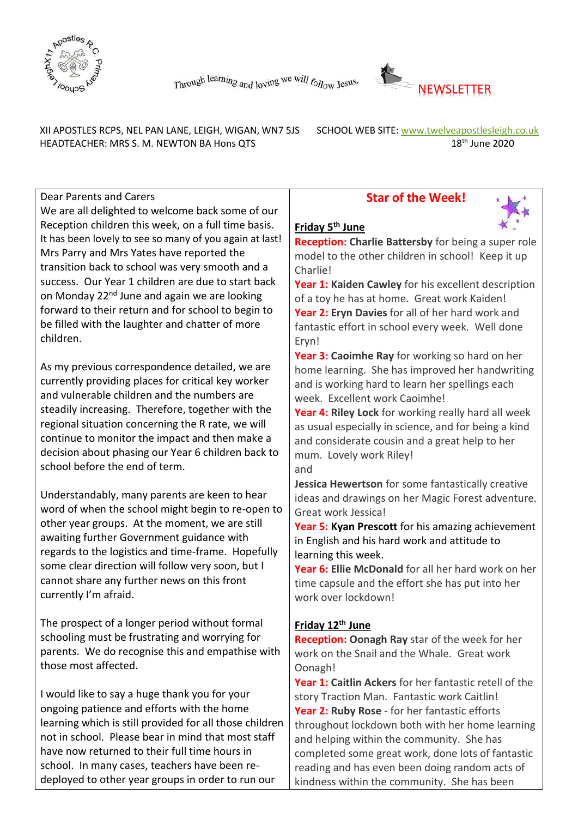



 XII APOSTLES RCPS, NEL PAN LANE, LEIGH, WIGAN, WN7 5JS SCHOOL WEB SITE: [www.twelveapostlesleigh.co.uk](http://www.twelveapostlesleigh.co.uk/)  HEADTEACHER: MRS S. M. NEWTON BA Hons QTS 18<sup>th</sup> June 2020

Dear Parents and Carers

We are all delighted to welcome back some of our Reception children this week, on a full time basis. It has been lovely to see so many of you again at last! Mrs Parry and Mrs Yates have reported the transition back to school was very smooth and a success. Our Year 1 children are due to start back on Monday 22<sup>nd</sup> June and again we are looking forward to their return and for school to begin to be filled with the laughter and chatter of more children.

As my previous correspondence detailed, we are currently providing places for critical key worker and vulnerable children and the numbers are steadily increasing. Therefore, together with the regional situation concerning the R rate, we will continue to monitor the impact and then make a decision about phasing our Year 6 children back to school before the end of term.

Understandably, many parents are keen to hear word of when the school might begin to re-open to other year groups. At the moment, we are still awaiting further Government guidance with regards to the logistics and time-frame. Hopefully some clear direction will follow very soon, but I cannot share any further news on this front currently I'm afraid.

The prospect of a longer period without formal schooling must be frustrating and worrying for parents. We do recognise this and empathise with those most affected.

I would like to say a huge thank you for your ongoing patience and efforts with the home learning which is still provided for all those children not in school. Please bear in mind that most staff have now returned to their full time hours in school. In many cases, teachers have been redeployed to other year groups in order to run our

### **Star of the Week!**



### **Friday 5 th June**

**Reception: Charlie Battersby** for being a super role model to the other children in school! Keep it up Charlie!

**Year 1: Kaiden Cawley** for his excellent description of a toy he has at home. Great work Kaiden! **Year 2: Eryn Davies** for all of her hard work and fantastic effort in school every week. Well done Eryn!

**Year 3: Caoimhe Ray** for working so hard on her home learning. She has improved her handwriting and is working hard to learn her spellings each week. Excellent work Caoimhe!

**Year 4: Riley Lock** for working really hard all week as usual especially in science, and for being a kind and considerate cousin and a great help to her mum. Lovely work Riley! and

**Jessica Hewertson** for some fantastically creative ideas and drawings on her Magic Forest adventure. Great work Jessica!

**Year 5: Kyan Prescott** for his amazing achievement in English and his hard work and attitude to learning this week.

**Year 6: Ellie McDonald** for all her hard work on her time capsule and the effort she has put into her work over lockdown!

### **Friday 12th June**

**Reception: Oonagh Ray** star of the week for her work on the Snail and the Whale. Great work Oonagh!

**Year 1: Caitlin Ackers** for her fantastic retell of the story Traction Man. Fantastic work Caitlin! **Year 2: Ruby Rose** - for her fantastic efforts throughout lockdown both with her home learning and helping within the community. She has completed some great work, done lots of fantastic reading and has even been doing random acts of kindness within the community. She has been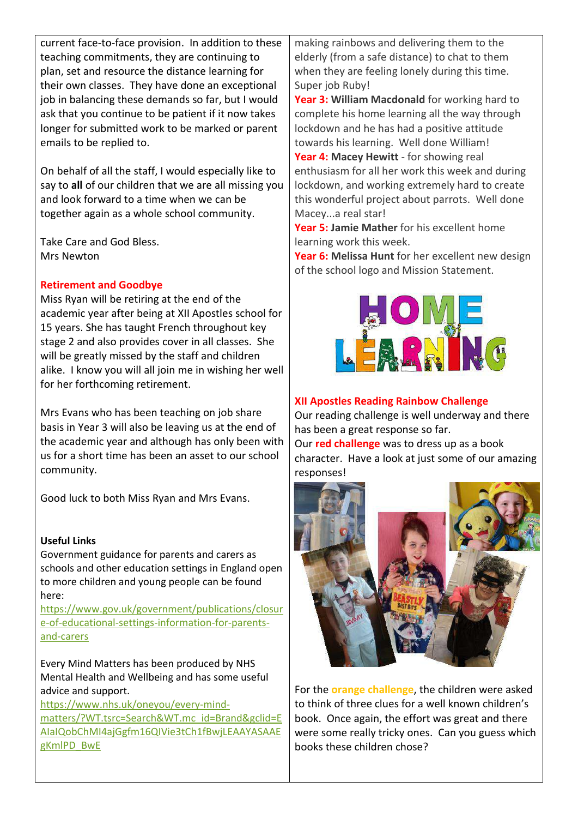current face-to-face provision. In addition to these teaching commitments, they are continuing to plan, set and resource the distance learning for their own classes. They have done an exceptional job in balancing these demands so far, but I would ask that you continue to be patient if it now takes longer for submitted work to be marked or parent emails to be replied to.

On behalf of all the staff, I would especially like to say to **all** of our children that we are all missing you and look forward to a time when we can be together again as a whole school community.

Take Care and God Bless. Mrs Newton

#### **Retirement and Goodbye**

Miss Ryan will be retiring at the end of the academic year after being at XII Apostles school for 15 years. She has taught French throughout key stage 2 and also provides cover in all classes. She will be greatly missed by the staff and children alike. I know you will all join me in wishing her well for her forthcoming retirement.

Mrs Evans who has been teaching on job share basis in Year 3 will also be leaving us at the end of the academic year and although has only been with us for a short time has been an asset to our school community.

Good luck to both Miss Ryan and Mrs Evans.

### **Useful Links**

Government guidance for parents and carers as schools and other education settings in England open to more children and young people can be found here:

[https://www.gov.uk/government/publications/closur](https://www.gov.uk/government/publications/closure-of-educational-settings-information-for-parents-and-carers) [e-of-educational-settings-information-for-parents](https://www.gov.uk/government/publications/closure-of-educational-settings-information-for-parents-and-carers)[and-carers](https://www.gov.uk/government/publications/closure-of-educational-settings-information-for-parents-and-carers)

Every Mind Matters has been produced by NHS Mental Health and Wellbeing and has some useful advice and support.

[https://www.nhs.uk/oneyou/every-mind](file://///DC01/Work$/Staff/s.newton/NEWSLETTER%202019-20/Useful%20Links)[matters/?WT.tsrc=Search&WT.mc\\_id=Brand&gclid=E](file://///DC01/Work$/Staff/s.newton/NEWSLETTER%202019-20/Useful%20Links) [AIaIQobChMI4ajGgfm16QIVie3tCh1fBwjLEAAYASAAE](file://///DC01/Work$/Staff/s.newton/NEWSLETTER%202019-20/Useful%20Links) [gKmlPD\\_BwE](file://///DC01/Work$/Staff/s.newton/NEWSLETTER%202019-20/Useful%20Links) 

making rainbows and delivering them to the elderly (from a safe distance) to chat to them when they are feeling lonely during this time. Super job Ruby!

**Year 3: William Macdonald** for working hard to complete his home learning all the way through lockdown and he has had a positive attitude towards his learning. Well done William!

**Year 4: Macey Hewitt** - for showing real enthusiasm for all her work this week and during lockdown, and working extremely hard to create this wonderful project about parrots. Well done Macey...a real star!

**Year 5: Jamie Mather** for his excellent home learning work this week.

**Year 6: Melissa Hunt** for her excellent new design of the school logo and Mission Statement.



## **XII Apostles Reading Rainbow Challenge**

Our reading challenge is well underway and there has been a great response so far. Our **red challenge** was to dress up as a book

character. Have a look at just some of our amazing responses!



For the **orange challenge**, the children were asked to think of three clues for a well known children's book. Once again, the effort was great and there were some really tricky ones. Can you guess which books these children chose?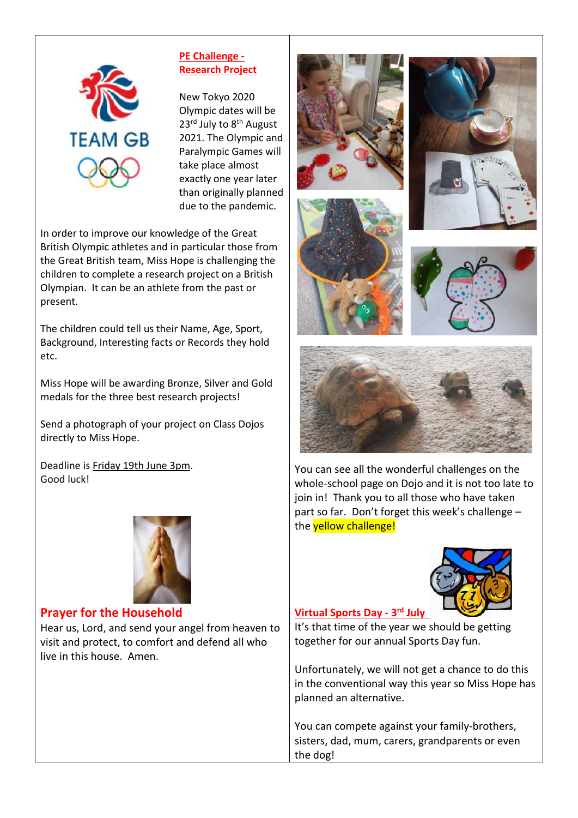

### **PE Challenge - Research Project**

New Tokyo 2020 Olympic dates will be 23<sup>rd</sup> July to 8<sup>th</sup> August 2021. The Olympic and Paralympic Games will take place almost exactly one year later than originally planned due to the pandemic.

In order to improve our knowledge of the Great British Olympic athletes and in particular those from the Great British team, Miss Hope is challenging the children to complete a research project on a British Olympian. It can be an athlete from the past or present.

The children could tell us their Name, Age, Sport, Background, Interesting facts or Records they hold etc.

Miss Hope will be awarding Bronze, Silver and Gold medals for the three best research projects!

Send a photograph of your project on Class Dojos directly to Miss Hope.

Deadline is Friday 19th June 3pm. Good luck!



### **Prayer for the Household**

Hear us, Lord, and send your angel from heaven to visit and protect, to comfort and defend all who live in this house. Amen.







You can see all the wonderful challenges on the whole-school page on Dojo and it is not too late to join in! Thank you to all those who have taken part so far. Don't forget this week's challenge – the **yellow challenge!** 



# **Virtual Sports Day - 3 rd July**

It's that time of the year we should be getting together for our annual Sports Day fun.

Unfortunately, we will not get a chance to do this in the conventional way this year so Miss Hope has planned an alternative.

You can compete against your family-brothers, sisters, dad, mum, carers, grandparents or even the dog!